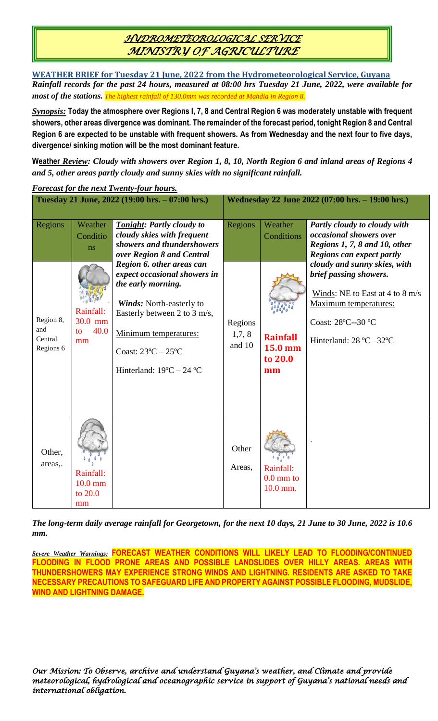## *HYDROMETEOROLOGICAL SERVICE MINISTRY OF AGRICULTURE*

**WEATHER BRIEF for Tuesday 21 June, 2022 from the Hydrometeorological Service, Guyana** *Rainfall records for the past 24 hours, measured at 08:00 hrs Tuesday 21 June, 2022, were available for most of the stations. The highest rainfall of 130.0mm was recorded at Mahdia in Region 8.*

*Synopsis:* **Today the atmosphere over Regions I, 7, 8 and Central Region 6 was moderately unstable with frequent showers, other areas divergence was dominant. The remainder of the forecast period, tonight Region 8 and Central Region 6 are expected to be unstable with frequent showers. As from Wednesday and the next four to five days, divergence/ sinking motion will be the most dominant feature.**

**Weather** *Review: Cloudy with showers over Region 1, 8, 10, North Region 6 and inland areas of Regions 4 and 5, other areas partly cloudy and sunny skies with no significant rainfall.*

|                                          |                                          | Tuesday 21 June, 2022 (19:00 hrs. - 07:00 hrs.)                                                                                                                                                                                                           | Wednesday 22 June 2022 (07:00 hrs. - 19:00 hrs.) |                                              |                                                                                                                                                                                                |
|------------------------------------------|------------------------------------------|-----------------------------------------------------------------------------------------------------------------------------------------------------------------------------------------------------------------------------------------------------------|--------------------------------------------------|----------------------------------------------|------------------------------------------------------------------------------------------------------------------------------------------------------------------------------------------------|
| Regions                                  | Weather<br>Conditio<br>ns                | Tonight: Partly cloudy to<br>cloudy skies with frequent<br>showers and thundershowers<br>over Region 8 and Central                                                                                                                                        | Regions                                          | Weather<br>Conditions                        | Partly cloudy to cloudy with<br>occasional showers over<br>Regions 1, 7, 8 and 10, other<br>Regions can expect partly                                                                          |
| Region 8,<br>and<br>Central<br>Regions 6 | Rainfall:<br>30.0 mm<br>40.0<br>to<br>mm | Region 6. other areas can<br>expect occasional showers in<br>the early morning.<br>Winds: North-easterly to<br>Easterly between 2 to 3 m/s,<br>Minimum temperatures:<br>Coast: $23^{\circ}$ C $- 25^{\circ}$ C<br>Hinterland: $19^{\circ}C - 24^{\circ}C$ | Regions<br>1,7,8<br>and 10                       | <b>Rainfall</b><br>15.0 mm<br>to 20.0<br>mm  | cloudy and sunny skies, with<br>brief passing showers.<br>Winds: NE to East at 4 to 8 m/s<br><b>Maximum</b> temperatures:<br>Coast: 28°C--30 °C<br>Hinterland: $28 \text{ °C} - 32 \text{ °C}$ |
| Other,<br>areas,.                        | Rainfall:<br>$10.0$ mm<br>to 20.0<br>mm  |                                                                                                                                                                                                                                                           | Other<br>Areas,                                  | Rainfall:<br>$0.0 \text{ mm}$ to<br>10.0 mm. |                                                                                                                                                                                                |

*Forecast for the next Twenty-four hours.*

*The long-term daily average rainfall for Georgetown, for the next 10 days, 21 June to 30 June, 2022 is 10.6 mm.*

*Severe Weather Warnings:* **FORECAST WEATHER CONDITIONS WILL LIKELY LEAD TO FLOODING/CONTINUED FLOODING IN FLOOD PRONE AREAS AND POSSIBLE LANDSLIDES OVER HILLY AREAS. AREAS WITH THUNDERSHOWERS MAY EXPERIENCE STRONG WINDS AND LIGHTNING. RESIDENTS ARE ASKED TO TAKE NECESSARY PRECAUTIONS TO SAFEGUARD LIFE AND PROPERTY AGAINST POSSIBLE FLOODING, MUDSLIDE, WIND AND LIGHTNING DAMAGE.**

*Our Mission: To Observe, archive and understand Guyana's weather, and Climate and provide meteorological, hydrological and oceanographic service in support of Guyana's national needs and international obligation.*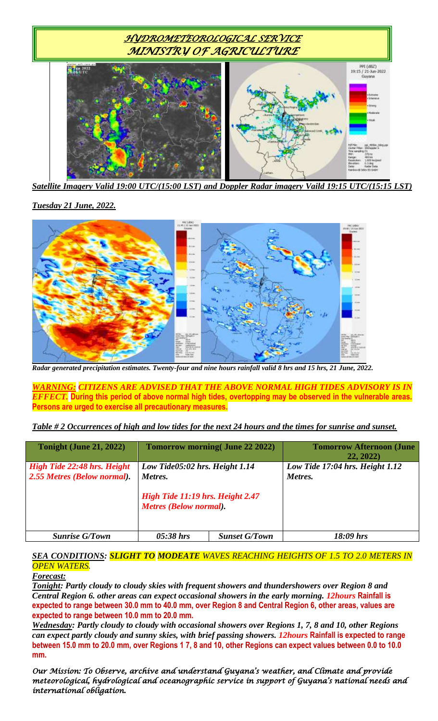

*Satellite Imagery Valid 19:00 UTC/(15:00 LST) and Doppler Radar imagery Vaild 19:15 UTC/(15:15 LST)*

*Tuesday 21 June, 2022.*



*Radar generated precipitation estimates. Twenty-four and nine hours rainfall valid 8 hrs and 15 hrs, 21 June, 2022.*

*WARNING: CITIZENS ARE ADVISED THAT THE ABOVE NORMAL HIGH TIDES ADVISORY IS IN EFFECT.* **During this period of above normal high tides, overtopping may be observed in the vulnerable areas. Persons are urged to exercise all precautionary measures.**

*Table # 2 Occurrences of high and low tides for the next 24 hours and the times for sunrise and sunset.*

| <b>Tonight (June 21, 2022)</b>                             |                                                                                                                | <b>Tomorrow morning (June 22 2022)</b> | <b>Tomorrow Afternoon (June</b><br>22, 2022 |
|------------------------------------------------------------|----------------------------------------------------------------------------------------------------------------|----------------------------------------|---------------------------------------------|
| High Tide 22:48 hrs. Height<br>2.55 Metres (Below normal). | Low Tide05:02 hrs. Height 1.14<br>Metres.<br>High Tide 11:19 hrs. Height 2.47<br><b>Metres (Below normal).</b> |                                        | Low Tide 17:04 hrs. Height 1.12<br>Metres.  |
| <b>Sunrise G/Town</b>                                      | $05:38$ hrs                                                                                                    | <b>Sunset G/Town</b>                   | 18:09 hrs                                   |

## *SEA CONDITIONS: SLIGHT TO MODEATE WAVES REACHING HEIGHTS OF 1.5 TO 2.0 METERS IN OPEN WATERS.*

*Forecast:*

*Tonight: Partly cloudy to cloudy skies with frequent showers and thundershowers over Region 8 and Central Region 6. other areas can expect occasional showers in the early morning. 12hours* **Rainfall is expected to range between 30.0 mm to 40.0 mm, over Region 8 and Central Region 6, other areas, values are expected to range between 10.0 mm to 20.0 mm.**

*Wednesday: Partly cloudy to cloudy with occasional showers over Regions 1, 7, 8 and 10, other Regions can expect partly cloudy and sunny skies, with brief passing showers. 12hours* **Rainfall is expected to range between 15.0 mm to 20.0 mm, over Regions 1 7, 8 and 10, other Regions can expect values between 0.0 to 10.0 mm.**

*Our Mission: To Observe, archive and understand Guyana's weather, and Climate and provide meteorological, hydrological and oceanographic service in support of Guyana's national needs and international obligation.*